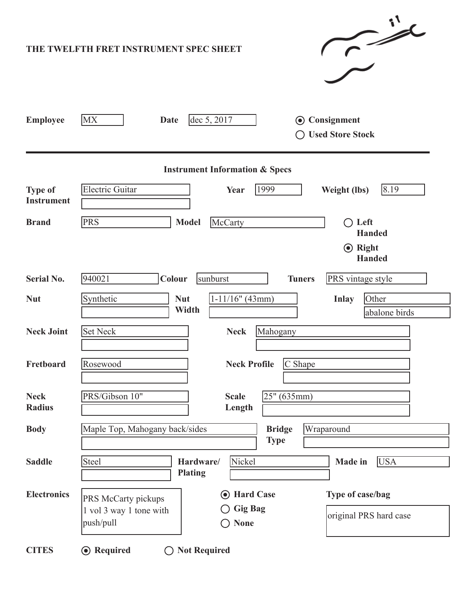|                                           | $\sim$<br>THE TWELFTH FRET INSTRUMENT SPEC SHEET                                                                                                          |  |  |  |  |  |  |  |
|-------------------------------------------|-----------------------------------------------------------------------------------------------------------------------------------------------------------|--|--|--|--|--|--|--|
| <b>Employee</b>                           | <b>MX</b><br>dec 5, 2017<br>Consignment<br><b>Date</b><br>$\left( \bullet \right)$<br><b>Used Store Stock</b>                                             |  |  |  |  |  |  |  |
| <b>Instrument Information &amp; Specs</b> |                                                                                                                                                           |  |  |  |  |  |  |  |
| <b>Type of</b><br><b>Instrument</b>       | <b>Electric Guitar</b><br>8.19<br>1999<br>Year<br><b>Weight (lbs)</b>                                                                                     |  |  |  |  |  |  |  |
| <b>Brand</b>                              | PRS<br><b>Model</b><br>McCarty<br>$\bigcirc$ Left<br><b>Handed</b><br>$\odot$ Right                                                                       |  |  |  |  |  |  |  |
| <b>Serial No.</b>                         | <b>Handed</b><br>PRS vintage style<br>940021<br>sunburst<br><b>Tuners</b>                                                                                 |  |  |  |  |  |  |  |
| <b>Nut</b>                                | Colour<br>Synthetic<br>$1-11/16"$ (43mm)<br>Other<br><b>Nut</b><br><b>Inlay</b><br>Width<br>abalone birds                                                 |  |  |  |  |  |  |  |
| <b>Neck Joint</b>                         | <b>Set Neck</b><br>Mahogany<br><b>Neck</b>                                                                                                                |  |  |  |  |  |  |  |
| Fretboard                                 | C Shape<br><b>Neck Profile</b><br>Rosewood                                                                                                                |  |  |  |  |  |  |  |
| <b>Neck</b><br><b>Radius</b>              | PRS/Gibson 10"<br>25" (635mm)<br><b>Scale</b><br>Length                                                                                                   |  |  |  |  |  |  |  |
| <b>Body</b>                               | Maple Top, Mahogany back/sides<br><b>Bridge</b><br>Wraparound<br><b>Type</b>                                                                              |  |  |  |  |  |  |  |
| <b>Saddle</b>                             | Nickel<br><b>Steel</b><br><b>USA</b><br>Hardware/<br><b>Made</b> in<br><b>Plating</b>                                                                     |  |  |  |  |  |  |  |
| <b>Electronics</b>                        | • Hard Case<br>Type of case/bag<br>PRS McCarty pickups<br><b>Gig Bag</b><br>1 vol 3 way 1 tone with<br>original PRS hard case<br>push/pull<br><b>None</b> |  |  |  |  |  |  |  |
| <b>CITES</b>                              | <b>⊙</b> Required<br><b>Not Required</b><br>$\rightarrow$                                                                                                 |  |  |  |  |  |  |  |